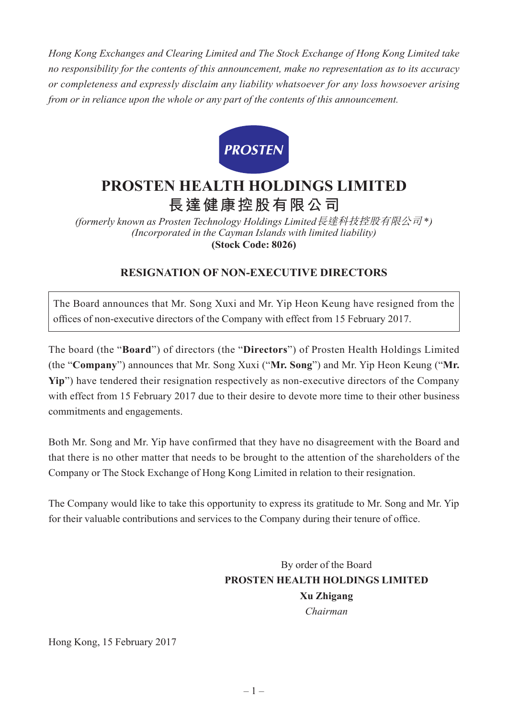*Hong Kong Exchanges and Clearing Limited and The Stock Exchange of Hong Kong Limited take no responsibility for the contents of this announcement, make no representation as to its accuracy or completeness and expressly disclaim any liability whatsoever for any loss howsoever arising from or in reliance upon the whole or any part of the contents of this announcement.*



## **PROSTEN HEALTH HOLDINGS LIMITED 長達健康控股有限公司**

*(formerly known as Prosten Technology Holdings Limited*長達科技控股有限公司 \**) (Incorporated in the Cayman Islands with limited liability)* **(Stock Code: 8026)**

## **RESIGNATION OF NON-EXECUTIVE DIRECTORS**

The Board announces that Mr. Song Xuxi and Mr. Yip Heon Keung have resigned from the offices of non-executive directors of the Company with effect from 15 February 2017.

The board (the "**Board**") of directors (the "**Directors**") of Prosten Health Holdings Limited (the "**Company**") announces that Mr. Song Xuxi ("**Mr. Song**") and Mr. Yip Heon Keung ("**Mr. Yip**") have tendered their resignation respectively as non-executive directors of the Company with effect from 15 February 2017 due to their desire to devote more time to their other business commitments and engagements.

Both Mr. Song and Mr. Yip have confirmed that they have no disagreement with the Board and that there is no other matter that needs to be brought to the attention of the shareholders of the Company or The Stock Exchange of Hong Kong Limited in relation to their resignation.

The Company would like to take this opportunity to express its gratitude to Mr. Song and Mr. Yip for their valuable contributions and services to the Company during their tenure of office.

> By order of the Board **PROSTEN HEALTH HOLDINGS LIMITED Xu Zhigang** *Chairman*

Hong Kong, 15 February 2017